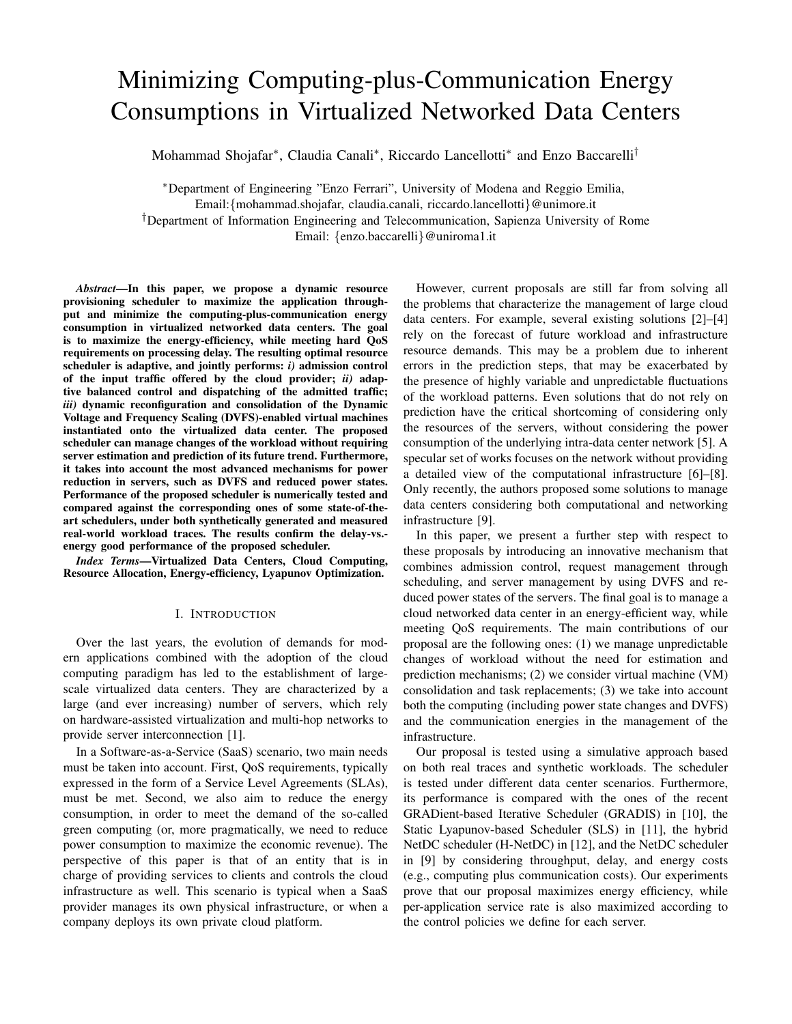# Minimizing Computing-plus-Communication Energy Consumptions in Virtualized Networked Data Centers

Mohammad Shojafar<sup>∗</sup>, Claudia Canali<sup>∗</sup>, Riccardo Lancellotti<sup>∗</sup> and Enzo Baccarelli<sup>†</sup>

<sup>∗</sup>Department of Engineering "Enzo Ferrari", University of Modena and Reggio Emilia, Email:{mohammad.shojafar, claudia.canali, riccardo.lancellotti}@unimore.it †Department of Information Engineering and Telecommunication, Sapienza University of Rome Email: {enzo.baccarelli}@uniroma1.it

*Abstract*—In this paper, we propose a dynamic resource provisioning scheduler to maximize the application throughput and minimize the computing-plus-communication energy consumption in virtualized networked data centers. The goal is to maximize the energy-efficiency, while meeting hard QoS requirements on processing delay. The resulting optimal resource scheduler is adaptive, and jointly performs: *i)* admission control of the input traffic offered by the cloud provider; *ii)* adaptive balanced control and dispatching of the admitted traffic; *iii)* dynamic reconfiguration and consolidation of the Dynamic Voltage and Frequency Scaling (DVFS)-enabled virtual machines instantiated onto the virtualized data center. The proposed scheduler can manage changes of the workload without requiring server estimation and prediction of its future trend. Furthermore, it takes into account the most advanced mechanisms for power reduction in servers, such as DVFS and reduced power states. Performance of the proposed scheduler is numerically tested and compared against the corresponding ones of some state-of-theart schedulers, under both synthetically generated and measured real-world workload traces. The results confirm the delay-vs. energy good performance of the proposed scheduler.

*Index Terms*—Virtualized Data Centers, Cloud Computing, Resource Allocation, Energy-efficiency, Lyapunov Optimization.

## I. INTRODUCTION

Over the last years, the evolution of demands for modern applications combined with the adoption of the cloud computing paradigm has led to the establishment of largescale virtualized data centers. They are characterized by a large (and ever increasing) number of servers, which rely on hardware-assisted virtualization and multi-hop networks to provide server interconnection [1].

In a Software-as-a-Service (SaaS) scenario, two main needs must be taken into account. First, QoS requirements, typically expressed in the form of a Service Level Agreements (SLAs), must be met. Second, we also aim to reduce the energy consumption, in order to meet the demand of the so-called green computing (or, more pragmatically, we need to reduce power consumption to maximize the economic revenue). The perspective of this paper is that of an entity that is in charge of providing services to clients and controls the cloud infrastructure as well. This scenario is typical when a SaaS provider manages its own physical infrastructure, or when a company deploys its own private cloud platform.

However, current proposals are still far from solving all the problems that characterize the management of large cloud data centers. For example, several existing solutions [2]–[4] rely on the forecast of future workload and infrastructure resource demands. This may be a problem due to inherent errors in the prediction steps, that may be exacerbated by the presence of highly variable and unpredictable fluctuations of the workload patterns. Even solutions that do not rely on prediction have the critical shortcoming of considering only the resources of the servers, without considering the power consumption of the underlying intra-data center network [5]. A specular set of works focuses on the network without providing a detailed view of the computational infrastructure [6]–[8]. Only recently, the authors proposed some solutions to manage data centers considering both computational and networking infrastructure [9].

In this paper, we present a further step with respect to these proposals by introducing an innovative mechanism that combines admission control, request management through scheduling, and server management by using DVFS and reduced power states of the servers. The final goal is to manage a cloud networked data center in an energy-efficient way, while meeting QoS requirements. The main contributions of our proposal are the following ones: (1) we manage unpredictable changes of workload without the need for estimation and prediction mechanisms; (2) we consider virtual machine (VM) consolidation and task replacements; (3) we take into account both the computing (including power state changes and DVFS) and the communication energies in the management of the infrastructure.

Our proposal is tested using a simulative approach based on both real traces and synthetic workloads. The scheduler is tested under different data center scenarios. Furthermore, its performance is compared with the ones of the recent GRADient-based Iterative Scheduler (GRADIS) in [10], the Static Lyapunov-based Scheduler (SLS) in [11], the hybrid NetDC scheduler (H-NetDC) in [12], and the NetDC scheduler in [9] by considering throughput, delay, and energy costs (e.g., computing plus communication costs). Our experiments prove that our proposal maximizes energy efficiency, while per-application service rate is also maximized according to the control policies we define for each server.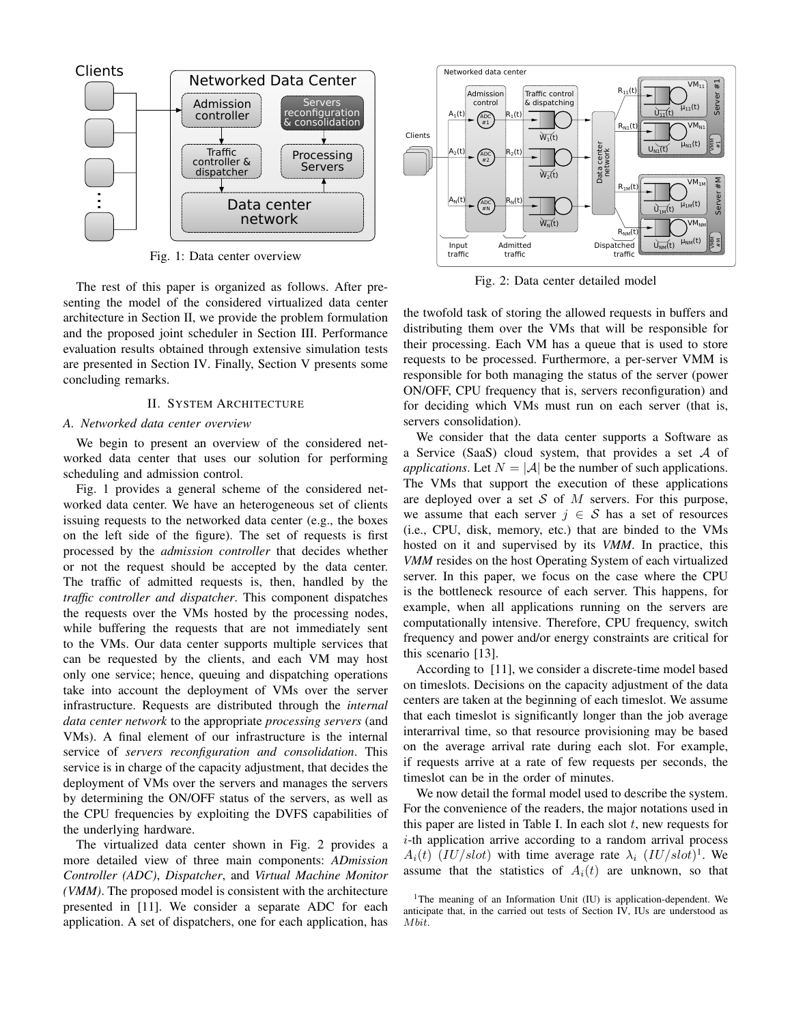

Fig. 1: Data center overview

The rest of this paper is organized as follows. After presenting the model of the considered virtualized data center architecture in Section II, we provide the problem formulation and the proposed joint scheduler in Section III. Performance evaluation results obtained through extensive simulation tests are presented in Section IV. Finally, Section V presents some concluding remarks.

## II. SYSTEM ARCHITECTURE

## *A. Networked data center overview*

We begin to present an overview of the considered networked data center that uses our solution for performing scheduling and admission control.

Fig. 1 provides a general scheme of the considered networked data center. We have an heterogeneous set of clients issuing requests to the networked data center (e.g., the boxes on the left side of the figure). The set of requests is first processed by the *admission controller* that decides whether or not the request should be accepted by the data center. The traffic of admitted requests is, then, handled by the *traffic controller and dispatcher*. This component dispatches the requests over the VMs hosted by the processing nodes, while buffering the requests that are not immediately sent to the VMs. Our data center supports multiple services that can be requested by the clients, and each VM may host only one service; hence, queuing and dispatching operations take into account the deployment of VMs over the server infrastructure. Requests are distributed through the *internal data center network* to the appropriate *processing servers* (and VMs). A final element of our infrastructure is the internal service of *servers reconfiguration and consolidation*. This service is in charge of the capacity adjustment, that decides the deployment of VMs over the servers and manages the servers by determining the ON/OFF status of the servers, as well as the CPU frequencies by exploiting the DVFS capabilities of the underlying hardware.

The virtualized data center shown in Fig. 2 provides a more detailed view of three main components: *ADmission Controller (ADC)*, *Dispatcher*, and *Virtual Machine Monitor (VMM)*. The proposed model is consistent with the architecture presented in [11]. We consider a separate ADC for each application. A set of dispatchers, one for each application, has



Fig. 2: Data center detailed model

the twofold task of storing the allowed requests in buffers and distributing them over the VMs that will be responsible for their processing. Each VM has a queue that is used to store requests to be processed. Furthermore, a per-server VMM is responsible for both managing the status of the server (power ON/OFF, CPU frequency that is, servers reconfiguration) and for deciding which VMs must run on each server (that is, servers consolidation).

We consider that the data center supports a Software as a Service (SaaS) cloud system, that provides a set A of *applications*. Let  $N = |\mathcal{A}|$  be the number of such applications. The VMs that support the execution of these applications are deployed over a set S of M servers. For this purpose, we assume that each server  $j \in S$  has a set of resources (i.e., CPU, disk, memory, etc.) that are binded to the VMs hosted on it and supervised by its *VMM*. In practice, this *VMM* resides on the host Operating System of each virtualized server. In this paper, we focus on the case where the CPU is the bottleneck resource of each server. This happens, for example, when all applications running on the servers are computationally intensive. Therefore, CPU frequency, switch frequency and power and/or energy constraints are critical for this scenario [13].

According to [11], we consider a discrete-time model based on timeslots. Decisions on the capacity adjustment of the data centers are taken at the beginning of each timeslot. We assume that each timeslot is significantly longer than the job average interarrival time, so that resource provisioning may be based on the average arrival rate during each slot. For example, if requests arrive at a rate of few requests per seconds, the timeslot can be in the order of minutes.

We now detail the formal model used to describe the system. For the convenience of the readers, the major notations used in this paper are listed in Table I. In each slot  $t$ , new requests for  $i$ -th application arrive according to a random arrival process  $A_i(t)$  (IU/slot) with time average rate  $\lambda_i$  (IU/slot)<sup>1</sup>. We assume that the statistics of  $A_i(t)$  are unknown, so that

<sup>&</sup>lt;sup>1</sup>The meaning of an Information Unit (IU) is application-dependent. We anticipate that, in the carried out tests of Section IV, IUs are understood as Mbit.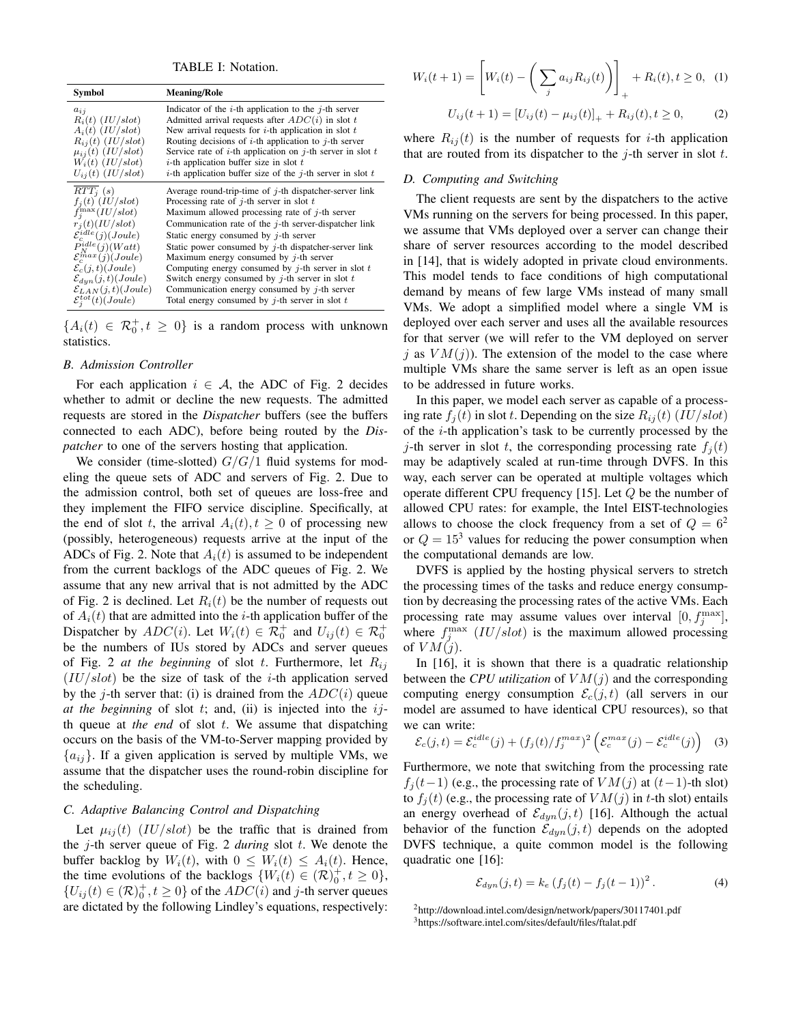TABLE I: Notation.

| <b>Symbol</b>                            | <b>Meaning/Role</b>                                                       |
|------------------------------------------|---------------------------------------------------------------------------|
| $a_{ij}$                                 | Indicator of the <i>i</i> -th application to the <i>j</i> -th server      |
| $R_i(t)$ (IU/slot)                       | Admitted arrival requests after $ADC(i)$ in slot t                        |
| $A_i(t)$ (IU/slot)                       | New arrival requests for $i$ -th application in slot t                    |
| $R_{ij}(t)$ (IU/slot)                    | Routing decisions of <i>i</i> -th application to <i>j</i> -th server      |
| $\mu_{ij}(t)$ (IU/slot)                  | Service rate of <i>i</i> -th application on <i>j</i> -th server in slot t |
| $W_i(t)$ (IU/slot)                       | $i$ -th application buffer size in slot $t$                               |
| $U_{ij}(t)$ (IU/slot)                    | <i>i</i> -th application buffer size of the <i>j</i> -th server in slot t |
| $\overline{RTT_i}(s)$                    | Average round-trip-time of $j$ -th dispatcher-server link                 |
| $f_i(t)$ (IU/slot)                       | Processing rate of $j$ -th server in slot $t$                             |
| $f_i^{\max}(IU/slot)$                    | Maximum allowed processing rate of $j$ -th server                         |
| $r_i(t)(IU/slot)$                        | Communication rate of the $j$ -th server-dispatcher link                  |
| $\mathcal{E}$ <sup>idle</sup> (j)(Joule) | Static energy consumed by $j$ -th server                                  |
| $P_N^{idle}(i)(Watt)$                    | Static power consumed by $j$ -th dispatcher-server link                   |
| $\mathcal{E}_c^{max}(j)(Joule)$          | Maximum energy consumed by $j$ -th server                                 |
| $\mathcal{E}_c(j,t)$ ( <i>Joule</i> )    | Computing energy consumed by $j$ -th server in slot $t$                   |
| $\mathcal{E}_{dyn}(j,t)(Joule)$          | Switch energy consumed by $j$ -th server in slot t                        |
| $\mathcal{E}_{LAN}(j,t)(Joule)$          | Communication energy consumed by $j$ -th server                           |
| $\mathcal{E}_{i}^{tot}(t)(Joule)$        | Total energy consumed by $j$ -th server in slot t                         |

 ${A_i(t) \in \mathcal{R}_0^+, t \geq 0}$  is a random process with unknown statistics.

## *B. Admission Controller*

For each application  $i \in A$ , the ADC of Fig. 2 decides whether to admit or decline the new requests. The admitted requests are stored in the *Dispatcher* buffers (see the buffers connected to each ADC), before being routed by the *Dispatcher* to one of the servers hosting that application.

We consider (time-slotted)  $G/G/1$  fluid systems for modeling the queue sets of ADC and servers of Fig. 2. Due to the admission control, both set of queues are loss-free and they implement the FIFO service discipline. Specifically, at the end of slot t, the arrival  $A_i(t)$ ,  $t \geq 0$  of processing new (possibly, heterogeneous) requests arrive at the input of the ADCs of Fig. 2. Note that  $A_i(t)$  is assumed to be independent from the current backlogs of the ADC queues of Fig. 2. We assume that any new arrival that is not admitted by the ADC of Fig. 2 is declined. Let  $R_i(t)$  be the number of requests out of  $A_i(t)$  that are admitted into the *i*-th application buffer of the Dispatcher by  $ADC(i)$ . Let  $W_i(t) \in \mathcal{R}_0^+$  and  $U_{ij}(t) \in \mathcal{R}_0^+$ be the numbers of IUs stored by ADCs and server queues of Fig. 2 *at the beginning* of slot  $t$ . Furthermore, let  $R_{ij}$  $(IU/slot)$  be the size of task of the *i*-th application served by the j-th server that: (i) is drained from the  $ADC(i)$  queue *at the beginning* of slot  $t$ ; and, (ii) is injected into the  $ij$ th queue at *the end* of slot t. We assume that dispatching occurs on the basis of the VM-to-Server mapping provided by  ${a_{ij}}$ . If a given application is served by multiple VMs, we assume that the dispatcher uses the round-robin discipline for the scheduling.

## *C. Adaptive Balancing Control and Dispatching*

Let  $\mu_{ij}(t)$  (*IU*/slot) be the traffic that is drained from the j-th server queue of Fig. 2 *during* slot t. We denote the buffer backlog by  $W_i(t)$ , with  $0 \leq W_i(t) \leq A_i(t)$ . Hence, the time evolutions of the backlogs  $\{W_i(t) \in (\mathcal{R})_0^+, t \ge 0\},\$  $\{U_{ij}(t) \in (\mathcal{R})_0^+, t \ge 0\}$  of the  $ADC(i)$  and j-th server queues are dictated by the following Lindley's equations, respectively:

$$
W_i(t+1) = \left[W_i(t) - \left(\sum_j a_{ij} R_{ij}(t)\right)\right]_+ + R_i(t), t \ge 0, \quad (1)
$$

$$
U_{ij}(t+1) = [U_{ij}(t) - \mu_{ij}(t)]_+ + R_{ij}(t), t \ge 0,
$$
 (2)

where  $R_{ij}(t)$  is the number of requests for *i*-th application that are routed from its dispatcher to the  $j$ -th server in slot  $t$ .

## *D. Computing and Switching*

The client requests are sent by the dispatchers to the active VMs running on the servers for being processed. In this paper, we assume that VMs deployed over a server can change their share of server resources according to the model described in [14], that is widely adopted in private cloud environments. This model tends to face conditions of high computational demand by means of few large VMs instead of many small VMs. We adopt a simplified model where a single VM is deployed over each server and uses all the available resources for that server (we will refer to the VM deployed on server j as  $VM(j)$ . The extension of the model to the case where multiple VMs share the same server is left as an open issue to be addressed in future works.

In this paper, we model each server as capable of a processing rate  $f_i(t)$  in slot t. Depending on the size  $R_{i i}(t)$  (IU/slot) of the i-th application's task to be currently processed by the j-th server in slot t, the corresponding processing rate  $f_i(t)$ may be adaptively scaled at run-time through DVFS. In this way, each server can be operated at multiple voltages which operate different CPU frequency [15]. Let  $Q$  be the number of allowed CPU rates: for example, the Intel EIST-technologies allows to choose the clock frequency from a set of  $Q = 6^2$ or  $Q = 15<sup>3</sup>$  values for reducing the power consumption when the computational demands are low.

DVFS is applied by the hosting physical servers to stretch the processing times of the tasks and reduce energy consumption by decreasing the processing rates of the active VMs. Each processing rate may assume values over interval  $[0, f_j^{\text{max}}]$ , where  $f_j^{\text{max}}$  (*IU*/slot) is the maximum allowed processing of  $VM(j)$ .

In [16], it is shown that there is a quadratic relationship between the *CPU utilization* of  $VM(j)$  and the corresponding computing energy consumption  $\mathcal{E}_c(j, t)$  (all servers in our model are assumed to have identical CPU resources), so that we can write:

$$
\mathcal{E}_c(j,t) = \mathcal{E}_c^{idle}(j) + (f_j(t)/f_j^{max})^2 \left( \mathcal{E}_c^{max}(j) - \mathcal{E}_c^{idle}(j) \right) \tag{3}
$$

Furthermore, we note that switching from the processing rate  $f_i(t-1)$  (e.g., the processing rate of  $VM(j)$  at  $(t-1)$ -th slot) to  $f_i(t)$  (e.g., the processing rate of  $VM(j)$  in t-th slot) entails an energy overhead of  $\mathcal{E}_{dyn}(j,t)$  [16]. Although the actual behavior of the function  $\mathcal{E}_{dyn}(j, t)$  depends on the adopted DVFS technique, a quite common model is the following quadratic one [16]:

$$
\mathcal{E}_{dyn}(j,t) = k_e (f_j(t) - f_j(t-1))^2.
$$
 (4)

<sup>2</sup>http://download.intel.com/design/network/papers/30117401.pdf <sup>3</sup>https://software.intel.com/sites/default/files/ftalat.pdf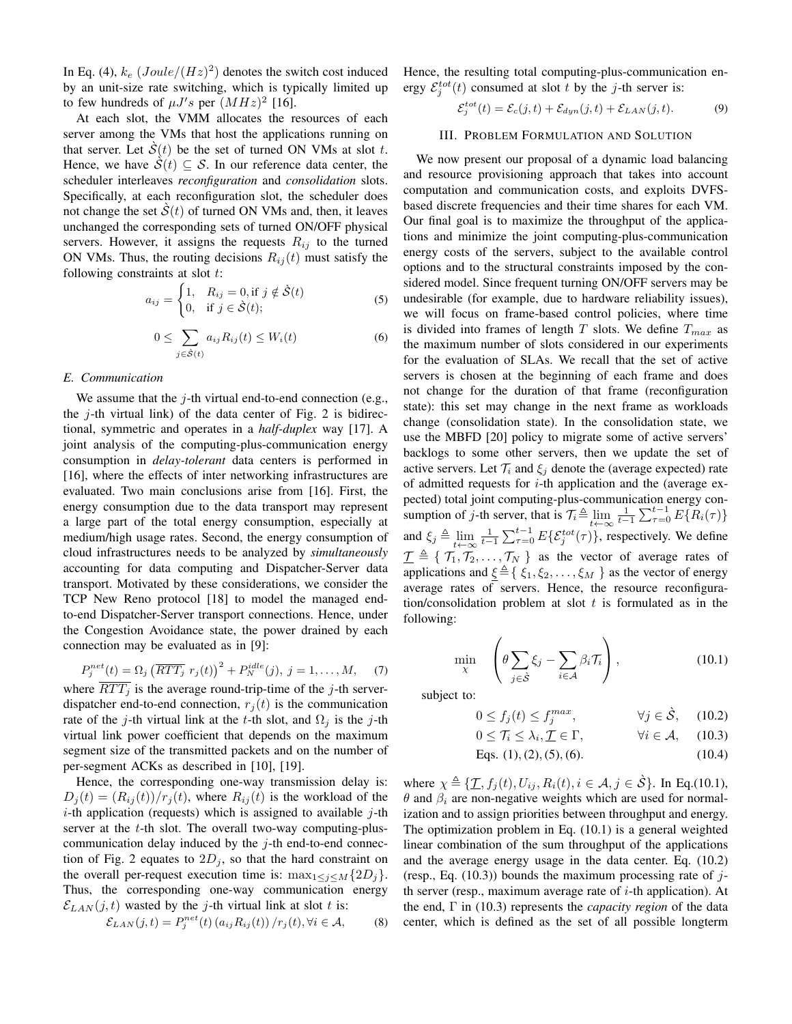In Eq. (4),  $k_e$   $(Joule/(Hz)^2)$  denotes the switch cost induced by an unit-size rate switching, which is typically limited up to few hundreds of  $\mu J$ 's per  $(MHz)^2$  [16].

At each slot, the VMM allocates the resources of each server among the VMs that host the applications running on that server. Let  $\hat{S}(t)$  be the set of turned ON VMs at slot t. Hence, we have  $\dot{S}(t) \subseteq S$ . In our reference data center, the scheduler interleaves *reconfiguration* and *consolidation* slots. Specifically, at each reconfiguration slot, the scheduler does not change the set  $\hat{S}(t)$  of turned ON VMs and, then, it leaves unchanged the corresponding sets of turned ON/OFF physical servers. However, it assigns the requests  $R_{ij}$  to the turned ON VMs. Thus, the routing decisions  $R_{ij}(t)$  must satisfy the following constraints at slot  $t$ :

$$
a_{ij} = \begin{cases} 1, & R_{ij} = 0, \text{if } j \notin \dot{\mathcal{S}}(t) \\ 0, & \text{if } j \in \dot{\mathcal{S}}(t); \end{cases} \tag{5}
$$

$$
0 \leq \sum_{j \in \mathcal{S}(t)} a_{ij} R_{ij}(t) \leq W_i(t) \tag{6}
$$

#### *E. Communication*

We assume that the  $j$ -th virtual end-to-end connection (e.g., the  $j$ -th virtual link) of the data center of Fig. 2 is bidirectional, symmetric and operates in a *half-duplex* way [17]. A joint analysis of the computing-plus-communication energy consumption in *delay-tolerant* data centers is performed in [16], where the effects of inter networking infrastructures are evaluated. Two main conclusions arise from [16]. First, the energy consumption due to the data transport may represent a large part of the total energy consumption, especially at medium/high usage rates. Second, the energy consumption of cloud infrastructures needs to be analyzed by *simultaneously* accounting for data computing and Dispatcher-Server data transport. Motivated by these considerations, we consider the TCP New Reno protocol [18] to model the managed endto-end Dispatcher-Server transport connections. Hence, under the Congestion Avoidance state, the power drained by each connection may be evaluated as in [9]:

$$
P_j^{net}(t) = \Omega_j \left( \overline{RTT_j} \ r_j(t) \right)^2 + P_N^{idle}(j), \ j = 1, \dots, M, \tag{7}
$$

where  $\overline{RTT_j}$  is the average round-trip-time of the j-th serverdispatcher end-to-end connection,  $r_i(t)$  is the communication rate of the j-th virtual link at the t-th slot, and  $\Omega_j$  is the j-th virtual link power coefficient that depends on the maximum segment size of the transmitted packets and on the number of per-segment ACKs as described in [10], [19].

Hence, the corresponding one-way transmission delay is:  $D_i(t) = (R_{ii}(t))/r_i(t)$ , where  $R_{ii}(t)$  is the workload of the  $i$ -th application (requests) which is assigned to available  $i$ -th server at the  $t$ -th slot. The overall two-way computing-pluscommunication delay induced by the  $j$ -th end-to-end connection of Fig. 2 equates to  $2D_j$ , so that the hard constraint on the overall per-request execution time is:  $\max_{1 \leq j \leq M} \{2D_j\}.$ Thus, the corresponding one-way communication energy  $\mathcal{E}_{LAN}(j,t)$  wasted by the j-th virtual link at slot t is:

$$
\mathcal{E}_{LAN}(j,t) = P_j^{net}(t) (a_{ij} R_{ij}(t)) / r_j(t), \forall i \in \mathcal{A},
$$
 (8)

Hence, the resulting total computing-plus-communication energy  $\mathcal{E}_j^{tot}(t)$  consumed at slot t by the j-th server is:

$$
\mathcal{E}_j^{tot}(t) = \mathcal{E}_c(j, t) + \mathcal{E}_{dyn}(j, t) + \mathcal{E}_{LAN}(j, t). \tag{9}
$$

#### III. PROBLEM FORMULATION AND SOLUTION

We now present our proposal of a dynamic load balancing and resource provisioning approach that takes into account computation and communication costs, and exploits DVFSbased discrete frequencies and their time shares for each VM. Our final goal is to maximize the throughput of the applications and minimize the joint computing-plus-communication energy costs of the servers, subject to the available control options and to the structural constraints imposed by the considered model. Since frequent turning ON/OFF servers may be undesirable (for example, due to hardware reliability issues), we will focus on frame-based control policies, where time is divided into frames of length T slots. We define  $T_{max}$  as the maximum number of slots considered in our experiments for the evaluation of SLAs. We recall that the set of active servers is chosen at the beginning of each frame and does not change for the duration of that frame (reconfiguration state): this set may change in the next frame as workloads change (consolidation state). In the consolidation state, we use the MBFD [20] policy to migrate some of active servers' backlogs to some other servers, then we update the set of active servers. Let  $\mathcal{T}_i$  and  $\xi_i$  denote the (average expected) rate of admitted requests for  $i$ -th application and the (average expected) total joint computing-plus-communication energy consumption of  $j$ -th server, that is  $\mathcal{T}_i \triangleq \lim_{t \to \infty} \frac{1}{t-1} \sum_{\tau=0}^{t-1} E\{R_i(\tau)\}\$ and  $\xi_j \triangleq \lim_{t \to \infty} \frac{1}{t-1} \sum_{\tau=0}^{t-1} E\{\mathcal{E}_j^{tot}(\tau)\}\)$ , respectively. We define  $\underline{\mathcal{T}} \triangleq \{ \mathcal{T}_1, \mathcal{T}_2, \dots, \mathcal{T}_N \}$  as the vector of average rates of applications and  $\xi \triangleq \{ \xi_1, \xi_2, \dots, \xi_M \}$  as the vector of energy average rates of servers. Hence, the resource reconfiguration/consolidation problem at slot  $t$  is formulated as in the following:

$$
\min_{\chi} \quad \left(\theta \sum_{j \in \hat{\mathcal{S}}} \xi_j - \sum_{i \in \mathcal{A}} \beta_i \mathcal{T}_i\right),\tag{10.1}
$$

subject to:

$$
0 \le f_j(t) \le f_j^{max}, \qquad \forall j \in \hat{\mathcal{S}}, \quad (10.2)
$$

$$
0 \leq \mathcal{T}_i \leq \lambda_i, \mathcal{T} \in \Gamma, \qquad \forall i \in \mathcal{A}, \quad (10.3)
$$

Eqs. 
$$
(1), (2), (5), (6)
$$
. (10.4)

where  $\chi \triangleq \{ \mathcal{T}, f_j(t), U_{ij}, R_i(t), i \in \mathcal{A}, j \in \hat{\mathcal{S}} \}$ . In Eq.(10.1),  $θ$  and  $β<sub>i</sub>$  are non-negative weights which are used for normalization and to assign priorities between throughput and energy. The optimization problem in Eq. (10.1) is a general weighted linear combination of the sum throughput of the applications and the average energy usage in the data center. Eq. (10.2) (resp., Eq.  $(10.3)$ ) bounds the maximum processing rate of jth server (resp., maximum average rate of  $i$ -th application). At the end, Γ in (10.3) represents the *capacity region* of the data center, which is defined as the set of all possible longterm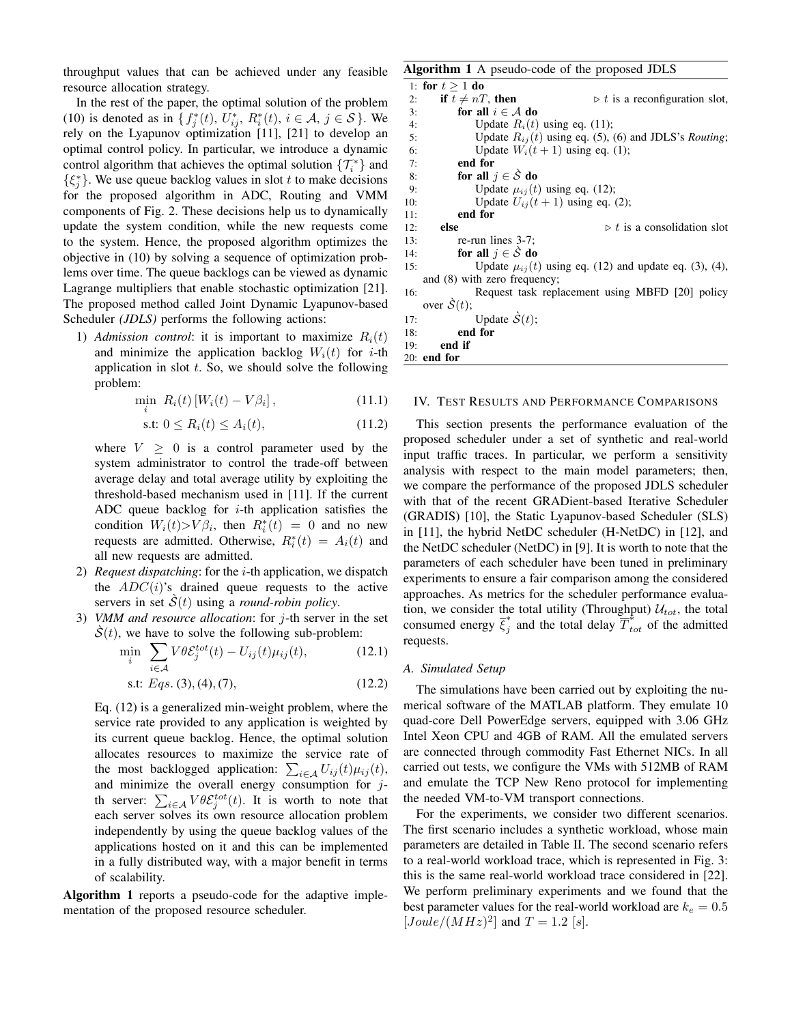throughput values that can be achieved under any feasible resource allocation strategy.

In the rest of the paper, the optimal solution of the problem (10) is denoted as in  $\{f_j^*(t), U_{ij}^*, R_i^*(t), i \in \mathcal{A}, j \in \mathcal{S}\}\.$  We rely on the Lyapunov optimization [11], [21] to develop an optimal control policy. In particular, we introduce a dynamic control algorithm that achieves the optimal solution  $\{\mathcal{T}_{i}^{*}\}\$  and  $\{\xi_j^*\}$ . We use queue backlog values in slot t to make decisions for the proposed algorithm in ADC, Routing and VMM components of Fig. 2. These decisions help us to dynamically update the system condition, while the new requests come to the system. Hence, the proposed algorithm optimizes the objective in (10) by solving a sequence of optimization problems over time. The queue backlogs can be viewed as dynamic Lagrange multipliers that enable stochastic optimization [21]. The proposed method called Joint Dynamic Lyapunov-based Scheduler *(JDLS)* performs the following actions:

1) *Admission control*: it is important to maximize  $R_i(t)$ and minimize the application backlog  $W_i(t)$  for *i*-th application in slot  $t$ . So, we should solve the following problem:

$$
\min_{i} R_i(t) \left[ W_i(t) - V\beta_i \right], \tag{11.1}
$$

s.t: 
$$
0 \le R_i(t) \le A_i(t)
$$
, (11.2)

where  $V \geq 0$  is a control parameter used by the system administrator to control the trade-off between average delay and total average utility by exploiting the threshold-based mechanism used in [11]. If the current ADC queue backlog for  $i$ -th application satisfies the condition  $W_i(t) > V\beta_i$ , then  $R_i^*(t) = 0$  and no new requests are admitted. Otherwise,  $R_i^*(t) = A_i(t)$  and all new requests are admitted.

- 2) *Request dispatching*: for the i-th application, we dispatch the  $ADC(i)$ 's drained queue requests to the active servers in set  $S(t)$  using a *round-robin policy*.
- 3) *VMM and resource allocation*: for j-th server in the set  $\dot{S}(t)$ , we have to solve the following sub-problem:

$$
\min_{i} \sum_{i \in \mathcal{A}} V \theta \mathcal{E}_{j}^{tot}(t) - U_{ij}(t) \mu_{ij}(t), \tag{12.1}
$$

s.t: 
$$
Eqs. (3), (4), (7),
$$
 (12.2)

Eq. (12) is a generalized min-weight problem, where the service rate provided to any application is weighted by its current queue backlog. Hence, the optimal solution allocates resources to maximize the service rate of the most backlogged application:  $\sum_{i \in A} U_{ij}(t) \mu_{ij}(t)$ , and minimize the overall energy consumption for  $j$ th server:  $\sum_{i \in A} V \theta \mathcal{E}_j^{tot}(t)$ . It is worth to note that each server solves its own resource allocation problem independently by using the queue backlog values of the applications hosted on it and this can be implemented in a fully distributed way, with a major benefit in terms of scalability.

Algorithm 1 reports a pseudo-code for the adaptive implementation of the proposed resource scheduler.

# Algorithm 1 A pseudo-code of the proposed JDLS

```
1: for t \ge 1 do<br>2: if t \ne nT, then
2: if t \neq nT, then \triangleright t is a reconfiguration slot,
3: for all i \in A do
4: Update R_i(t) using eq. (11);
5: Update R_{ij}(t) using eq. (5), (6) and JDLS's Routing;
6: Update W_i(t+1) using eq. (1);
7: end for
8: for all j \in \hat{\mathcal{S}} do
9: Update \mu_{ij}(t) using eq. (12);
10: Update U_{ij}(t+1) using eq. (2);
11: end for
12: else \triangleright t is a consolidation slot
13: re-run lines 3-7;
14: for all j \in \mathcal{S} do
15: Update \mu_{ij}(t) using eq. (12) and update eq. (3), (4),
   and (8) with zero frequency;
16: Request task replacement using MBFD [20] policy
   over \dot{S}(t);
17: Update \hat{S}(t);<br>18: end for
          end for
19: end if
20: end for
```
#### IV. TEST RESULTS AND PERFORMANCE COMPARISONS

This section presents the performance evaluation of the proposed scheduler under a set of synthetic and real-world input traffic traces. In particular, we perform a sensitivity analysis with respect to the main model parameters; then, we compare the performance of the proposed JDLS scheduler with that of the recent GRADient-based Iterative Scheduler (GRADIS) [10], the Static Lyapunov-based Scheduler (SLS) in [11], the hybrid NetDC scheduler (H-NetDC) in [12], and the NetDC scheduler (NetDC) in [9]. It is worth to note that the parameters of each scheduler have been tuned in preliminary experiments to ensure a fair comparison among the considered approaches. As metrics for the scheduler performance evaluation, we consider the total utility (Throughput)  $\mathcal{U}_{tot}$ , the total consumed energy  $\overline{\xi}_i^*$  $\sum_{j=1}^{\infty}$  and the total delay  $\overline{T}_{tot}^{*}$  of the admitted requests.

# *A. Simulated Setup*

The simulations have been carried out by exploiting the numerical software of the MATLAB platform. They emulate 10 quad-core Dell PowerEdge servers, equipped with 3.06 GHz Intel Xeon CPU and 4GB of RAM. All the emulated servers are connected through commodity Fast Ethernet NICs. In all carried out tests, we configure the VMs with 512MB of RAM and emulate the TCP New Reno protocol for implementing the needed VM-to-VM transport connections.

For the experiments, we consider two different scenarios. The first scenario includes a synthetic workload, whose main parameters are detailed in Table II. The second scenario refers to a real-world workload trace, which is represented in Fig. 3: this is the same real-world workload trace considered in [22]. We perform preliminary experiments and we found that the best parameter values for the real-world workload are  $k_e = 0.5$ [*Joule*/(*MHz*)<sup>2</sup>] and  $T = 1.2$  [s].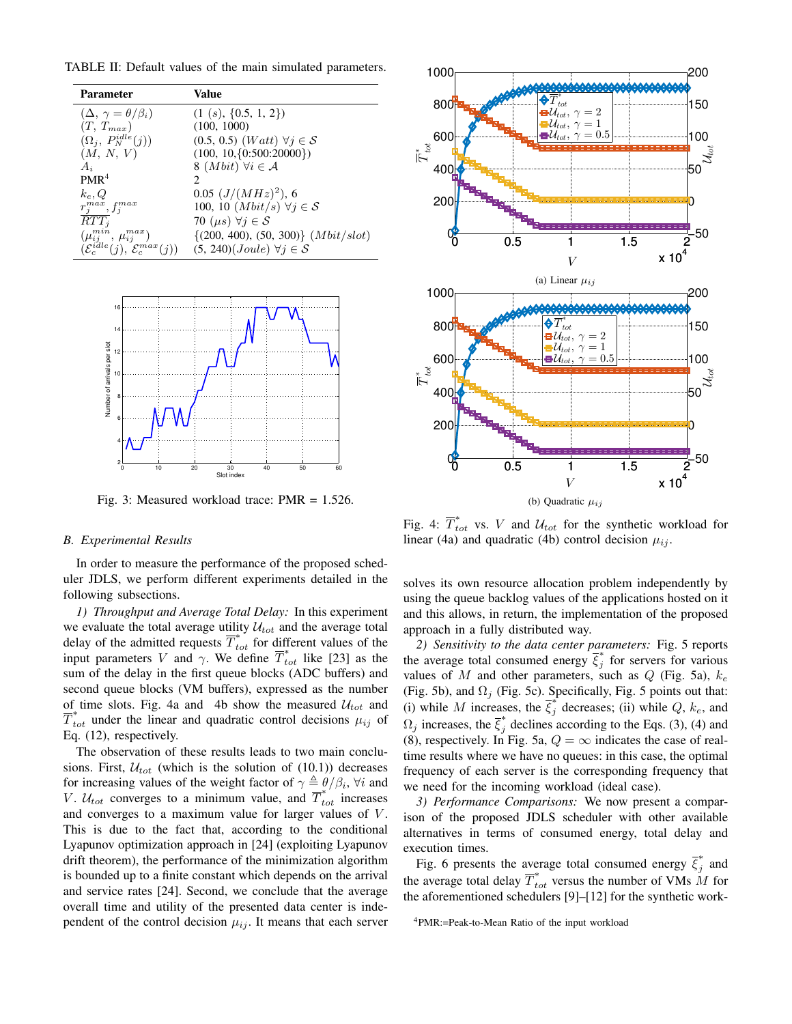TABLE II: Default values of the main simulated parameters.

| <b>Parameter</b>                                    | Value                                         |
|-----------------------------------------------------|-----------------------------------------------|
| $(\Delta, \gamma = \theta/\beta_i)$                 | $(1 (s), \{0.5, 1, 2\})$                      |
| $(T, T_{max})$                                      | (100, 1000)                                   |
| $(\Omega_i, P_N^{idle}(j))$                         | $(0.5, 0.5)$ $(Watt)$ $\forall i \in S$       |
| (M, N, V)                                           | $(100, 10, \{0:500:20000\})$                  |
| $A_i$                                               | 8 ( <i>Mbit</i> ) $\forall i \in \mathcal{A}$ |
| PMR <sup>4</sup>                                    | 2                                             |
| $k_e, Q$                                            | $0.05~(J/(MHz)^2)$ , 6                        |
| $r_j^{max}, f_j^{max}$                              | 100, 10 $(Mbit/s) \ \forall j \in S$          |
| $RTT_i$                                             | 70 $(\mu s)$ $\forall j \in S$                |
| $(\mu_{ij}^{min}, \mu_{ij}^{max})$                  | $\{(200, 400), (50, 300)\}\ (Mbit/slot)$      |
| $(\mathcal{E}_c^{idle}(j), \mathcal{E}_c^{max}(j))$ | $(5, 240) (Joule) \ \forall j \in S$          |



Fig. 3: Measured workload trace: PMR = 1.526.

## *B. Experimental Results*

In order to measure the performance of the proposed scheduler JDLS, we perform different experiments detailed in the following subsections.

*1) Throughput and Average Total Delay:* In this experiment we evaluate the total average utility  $U_{tot}$  and the average total delay of the admitted requests  $\overline{T}_{tot}^*$  for different values of the input parameters V and  $\gamma$ . We define  $\overline{T}_{tot}^*$  like [23] as the sum of the delay in the first queue blocks (ADC buffers) and second queue blocks (VM buffers), expressed as the number of time slots. Fig. 4a and 4b show the measured  $U_{tot}$  and  $\overline{T}_{tot}^*$  under the linear and quadratic control decisions  $\mu_{ij}$  of Eq. (12), respectively.

The observation of these results leads to two main conclusions. First,  $U_{tot}$  (which is the solution of (10.1)) decreases for increasing values of the weight factor of  $\gamma \triangleq \theta/\beta_i$ ,  $\forall i$  and V.  $U_{tot}$  converges to a minimum value, and  $\overline{T}_{tot}^{*'}$  increases and converges to a maximum value for larger values of V. This is due to the fact that, according to the conditional Lyapunov optimization approach in [24] (exploiting Lyapunov drift theorem), the performance of the minimization algorithm is bounded up to a finite constant which depends on the arrival and service rates [24]. Second, we conclude that the average overall time and utility of the presented data center is inde-



Fig. 4:  $\overline{T}_{tot}^*$  vs. V and  $\mathcal{U}_{tot}$  for the synthetic workload for linear (4a) and quadratic (4b) control decision  $\mu_{ij}$ .

solves its own resource allocation problem independently by using the queue backlog values of the applications hosted on it and this allows, in return, the implementation of the proposed approach in a fully distributed way.

*2) Sensitivity to the data center parameters:* Fig. 5 reports the average total consumed energy  $\overline{\xi}_i^*$  $j$  for servers for various values of M and other parameters, such as  $Q$  (Fig. 5a),  $k_e$ (Fig. 5b), and  $\Omega_i$  (Fig. 5c). Specifically, Fig. 5 points out that: (i) while M increases, the  $\overline{\xi}_j^*$  decreases; (ii) while Q,  $k_e$ , and  $\Omega_j$  increases, the  $\overline{\xi}_j^*$  declines according to the Eqs. (3), (4) and (8), respectively. In Fig. 5a,  $Q = \infty$  indicates the case of realtime results where we have no queues: in this case, the optimal frequency of each server is the corresponding frequency that we need for the incoming workload (ideal case).

*3) Performance Comparisons:* We now present a comparison of the proposed JDLS scheduler with other available alternatives in terms of consumed energy, total delay and execution times.

Fig. 6 presents the average total consumed energy  $\overline{\xi}_i^*$  $j$  and the average total delay  $\overline{T}_{tot}^*$  versus the number of VMs M for the aforementioned schedulers [9]–[12] for the synthetic work-

<sup>4</sup>PMR:=Peak-to-Mean Ratio of the input workload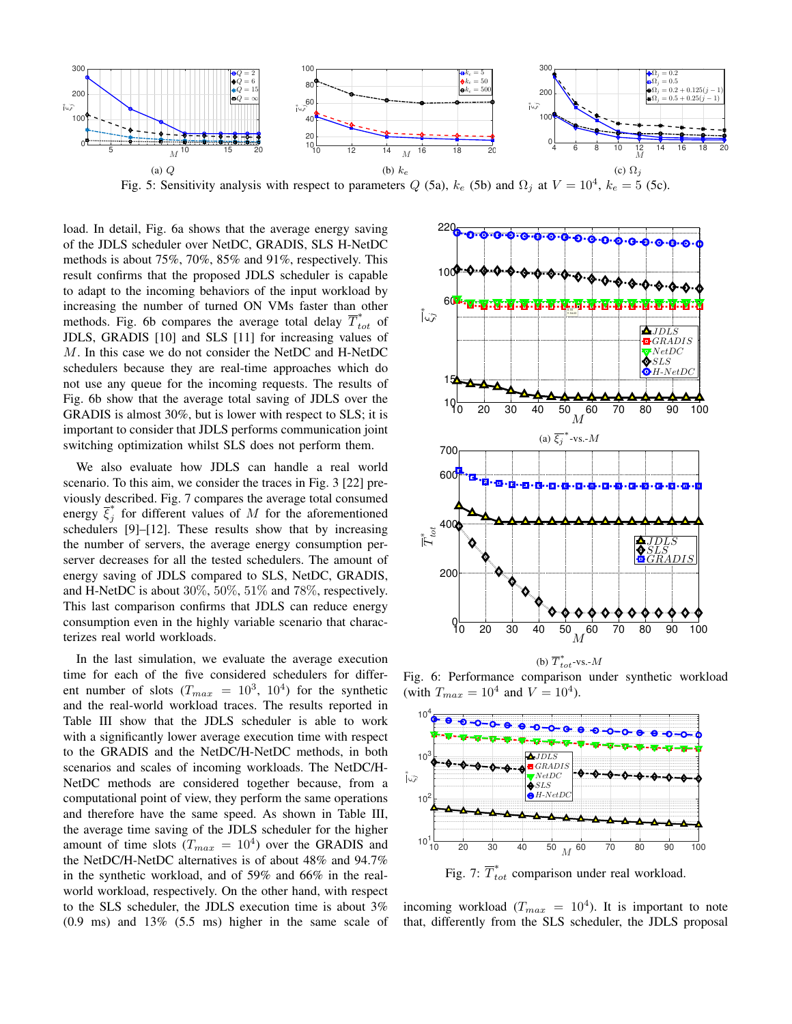

Fig. 5: Sensitivity analysis with respect to parameters Q (5a),  $k_e$  (5b) and  $\Omega_j$  at  $V = 10^4$ ,  $k_e = 5$  (5c).

load. In detail, Fig. 6a shows that the average energy saving of the JDLS scheduler over NetDC, GRADIS, SLS H-NetDC methods is about 75%, 70%, 85% and 91%, respectively. This result confirms that the proposed JDLS scheduler is capable to adapt to the incoming behaviors of the input workload by increasing the number of turned ON VMs faster than other methods. Fig. 6b compares the average total delay  $\overline{T}_{tot}^*$  of JDLS, GRADIS [10] and SLS [11] for increasing values of M. In this case we do not consider the NetDC and H-NetDC schedulers because they are real-time approaches which do not use any queue for the incoming requests. The results of Fig. 6b show that the average total saving of JDLS over the GRADIS is almost 30%, but is lower with respect to SLS; it is important to consider that JDLS performs communication joint switching optimization whilst SLS does not perform them.

We also evaluate how JDLS can handle a real world scenario. To this aim, we consider the traces in Fig. 3 [22] previously described. Fig. 7 compares the average total consumed energy  $\overline{\xi}_i^*$  $\int_{i}^{\infty}$  for different values of M for the aforementioned schedulers [9]–[12]. These results show that by increasing the number of servers, the average energy consumption perserver decreases for all the tested schedulers. The amount of energy saving of JDLS compared to SLS, NetDC, GRADIS, and H-NetDC is about 30%, 50%, 51% and 78%, respectively. This last comparison confirms that JDLS can reduce energy consumption even in the highly variable scenario that characterizes real world workloads.

In the last simulation, we evaluate the average execution time for each of the five considered schedulers for different number of slots  $(T_{max} = 10^3, 10^4)$  for the synthetic and the real-world workload traces. The results reported in Table III show that the JDLS scheduler is able to work with a significantly lower average execution time with respect to the GRADIS and the NetDC/H-NetDC methods, in both scenarios and scales of incoming workloads. The NetDC/H-NetDC methods are considered together because, from a computational point of view, they perform the same operations and therefore have the same speed. As shown in Table III, the average time saving of the JDLS scheduler for the higher amount of time slots ( $T_{max} = 10^4$ ) over the GRADIS and the NetDC/H-NetDC alternatives is of about 48% and 94.7% in the synthetic workload, and of 59% and 66% in the realworld workload, respectively. On the other hand, with respect to the SLS scheduler, the JDLS execution time is about 3% (0.9 ms) and 13% (5.5 ms) higher in the same scale of



Fig. 6: Performance comparison under synthetic workload (with  $T_{max} = 10^4$  and  $V = 10^4$ ).



Fig. 7:  $\overline{T}_{tot}^*$  comparison under real workload.

incoming workload  $(T_{max} = 10^4)$ . It is important to note that, differently from the SLS scheduler, the JDLS proposal